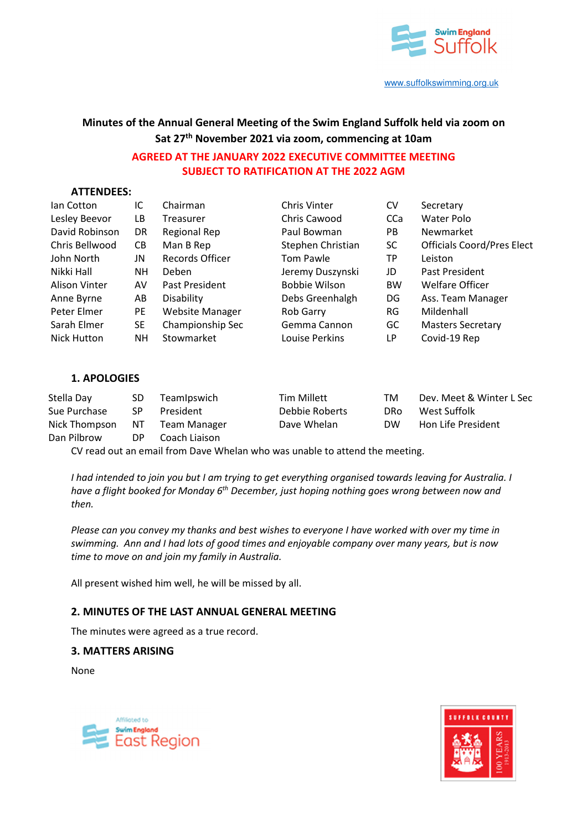

# **Minutes of the Annual General Meeting of the Swim England Suffolk held via zoom on Sat 27th November 2021 via zoom, commencing at 10am**

# **AGREED AT THE JANUARY 2022 EXECUTIVE COMMITTEE MEETING SUBJECT TO RATIFICATION AT THE 2022 AGM**

## **ATTENDEES:**

| lan Cotton           | IC        | Chairman         | <b>Chris Vinter</b>  | CV         | Secretary                         |
|----------------------|-----------|------------------|----------------------|------------|-----------------------------------|
| Lesley Beevor        | LВ        | Treasurer        | Chris Cawood         | <b>CCa</b> | Water Polo                        |
| David Robinson       | DR.       | Regional Rep     | Paul Bowman          | PB.        | Newmarket                         |
| Chris Bellwood       | CB.       | Man B Rep        | Stephen Christian    | <b>SC</b>  | <b>Officials Coord/Pres Elect</b> |
| John North           | JN        | Records Officer  | <b>Tom Pawle</b>     | ТP         | Leiston                           |
| Nikki Hall           | NΗ        | Deben            | Jeremy Duszynski     | JD         | Past President                    |
| <b>Alison Vinter</b> | AV        | Past President   | <b>Bobbie Wilson</b> | <b>BW</b>  | <b>Welfare Officer</b>            |
| Anne Byrne           | AB        | Disability       | Debs Greenhalgh      | DG         | Ass. Team Manager                 |
| Peter Elmer          | <b>PE</b> | Website Manager  | Rob Garry            | RG         | Mildenhall                        |
| Sarah Elmer          | SE.       | Championship Sec | Gemma Cannon         | GC         | <b>Masters Secretary</b>          |
| Nick Hutton          | NΗ        | Stowmarket       | Louise Perkins       | LР         | Covid-19 Rep                      |

## **1. APOLOGIES**

| Stella Day    | SD. | TeamIpswich   | <b>Tim Millett</b> | тм         | Dev. Meet & Winter L Sec  |
|---------------|-----|---------------|--------------------|------------|---------------------------|
| Sue Purchase  | SP. | President     | Debbie Roberts     | <b>DRo</b> | West Suffolk              |
| Nick Thompson | NT. | Team Manager  | Dave Whelan        | <b>DW</b>  | <b>Hon Life President</b> |
| Dan Pilbrow   | DP. | Coach Liaison |                    |            |                           |

CV read out an email from Dave Whelan who was unable to attend the meeting.

*I had intended to join you but I am trying to get everything organised towards leaving for Australia. I have a flight booked for Monday 6th December, just hoping nothing goes wrong between now and then.* 

*Please can you convey my thanks and best wishes to everyone I have worked with over my time in swimming. Ann and I had lots of good times and enjoyable company over many years, but is now time to move on and join my family in Australia.* 

All present wished him well, he will be missed by all.

## **2. MINUTES OF THE LAST ANNUAL GENERAL MEETING**

The minutes were agreed as a true record.

## **3. MATTERS ARISING**

None



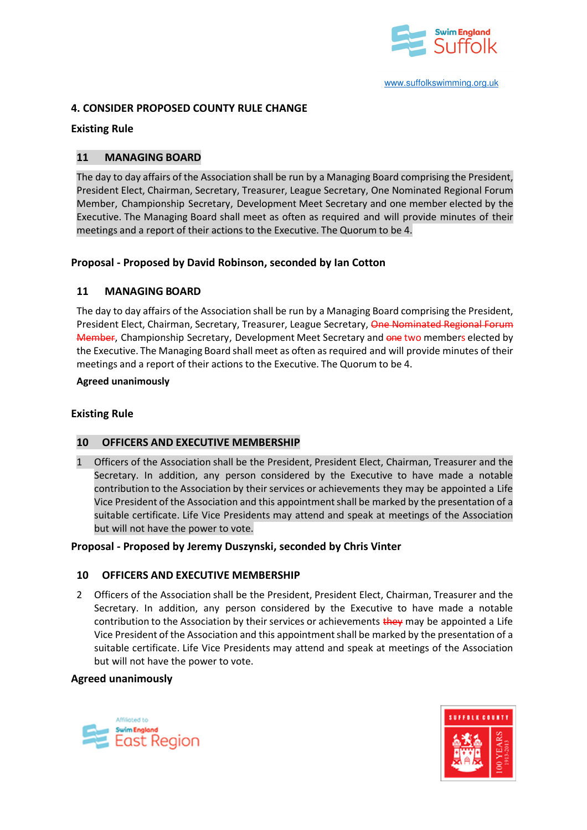

## **4. CONSIDER PROPOSED COUNTY RULE CHANGE**

## **Existing Rule**

## **11 MANAGING BOARD**

The day to day affairs of the Association shall be run by a Managing Board comprising the President, President Elect, Chairman, Secretary, Treasurer, League Secretary, One Nominated Regional Forum Member, Championship Secretary, Development Meet Secretary and one member elected by the Executive. The Managing Board shall meet as often as required and will provide minutes of their meetings and a report of their actions to the Executive. The Quorum to be 4.

## **Proposal - Proposed by David Robinson, seconded by Ian Cotton**

## **11 MANAGING BOARD**

The day to day affairs of the Association shall be run by a Managing Board comprising the President, President Elect, Chairman, Secretary, Treasurer, League Secretary, One Nominated Regional Forum Member, Championship Secretary, Development Meet Secretary and one two members elected by the Executive. The Managing Board shall meet as often as required and will provide minutes of their meetings and a report of their actions to the Executive. The Quorum to be 4.

#### **Agreed unanimously**

## **Existing Rule**

## **10 OFFICERS AND EXECUTIVE MEMBERSHIP**

1 Officers of the Association shall be the President, President Elect, Chairman, Treasurer and the Secretary. In addition, any person considered by the Executive to have made a notable contribution to the Association by their services or achievements they may be appointed a Life Vice President of the Association and this appointment shall be marked by the presentation of a suitable certificate. Life Vice Presidents may attend and speak at meetings of the Association but will not have the power to vote.

## **Proposal - Proposed by Jeremy Duszynski, seconded by Chris Vinter**

## **10 OFFICERS AND EXECUTIVE MEMBERSHIP**

2 Officers of the Association shall be the President, President Elect, Chairman, Treasurer and the Secretary. In addition, any person considered by the Executive to have made a notable contribution to the Association by their services or achievements they may be appointed a Life Vice President of the Association and this appointment shall be marked by the presentation of a suitable certificate. Life Vice Presidents may attend and speak at meetings of the Association but will not have the power to vote.

## **Agreed unanimously**



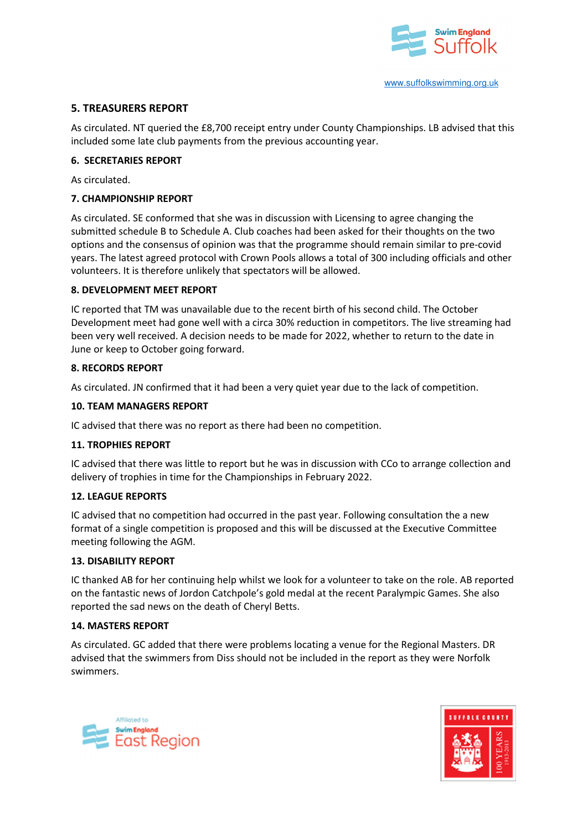

## **5. TREASURERS REPORT**

As circulated. NT queried the £8,700 receipt entry under County Championships. LB advised that this included some late club payments from the previous accounting year.

## **6. SECRETARIES REPORT**

As circulated.

## **7. CHAMPIONSHIP REPORT**

As circulated. SE conformed that she was in discussion with Licensing to agree changing the submitted schedule B to Schedule A. Club coaches had been asked for their thoughts on the two options and the consensus of opinion was that the programme should remain similar to pre-covid years. The latest agreed protocol with Crown Pools allows a total of 300 including officials and other volunteers. It is therefore unlikely that spectators will be allowed.

## **8. DEVELOPMENT MEET REPORT**

IC reported that TM was unavailable due to the recent birth of his second child. The October Development meet had gone well with a circa 30% reduction in competitors. The live streaming had been very well received. A decision needs to be made for 2022, whether to return to the date in June or keep to October going forward.

## **8. RECORDS REPORT**

As circulated. JN confirmed that it had been a very quiet year due to the lack of competition.

## **10. TEAM MANAGERS REPORT**

IC advised that there was no report as there had been no competition.

## **11. TROPHIES REPORT**

IC advised that there was little to report but he was in discussion with CCo to arrange collection and delivery of trophies in time for the Championships in February 2022.

## **12. LEAGUE REPORTS**

IC advised that no competition had occurred in the past year. Following consultation the a new format of a single competition is proposed and this will be discussed at the Executive Committee meeting following the AGM.

## **13. DISABILITY REPORT**

IC thanked AB for her continuing help whilst we look for a volunteer to take on the role. AB reported on the fantastic news of Jordon Catchpole's gold medal at the recent Paralympic Games. She also reported the sad news on the death of Cheryl Betts.

## **14. MASTERS REPORT**

As circulated. GC added that there were problems locating a venue for the Regional Masters. DR advised that the swimmers from Diss should not be included in the report as they were Norfolk swimmers.



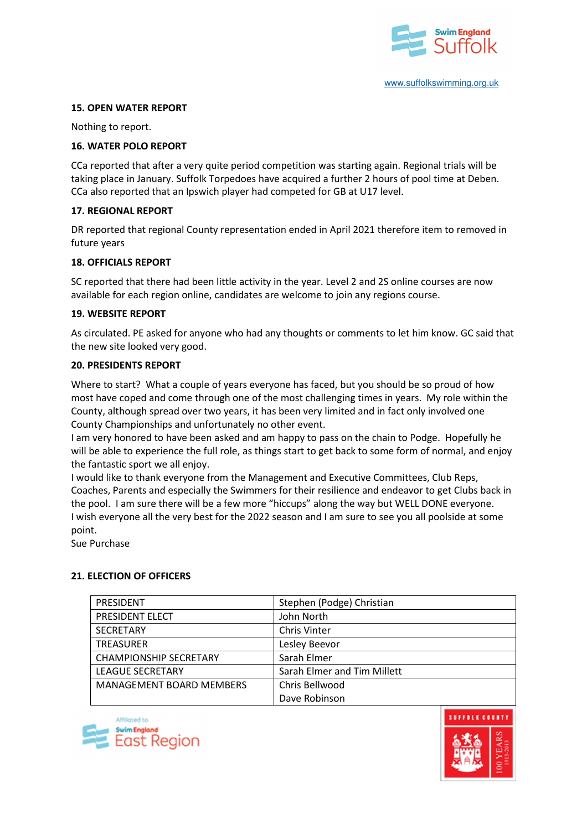

## **15. OPEN WATER REPORT**

Nothing to report.

#### **16. WATER POLO REPORT**

CCa reported that after a very quite period competition was starting again. Regional trials will be taking place in January. Suffolk Torpedoes have acquired a further 2 hours of pool time at Deben. CCa also reported that an Ipswich player had competed for GB at U17 level.

## **17. REGIONAL REPORT**

DR reported that regional County representation ended in April 2021 therefore item to removed in future years

#### **18. OFFICIALS REPORT**

SC reported that there had been little activity in the year. Level 2 and 2S online courses are now available for each region online, candidates are welcome to join any regions course.

#### **19. WEBSITE REPORT**

As circulated. PE asked for anyone who had any thoughts or comments to let him know. GC said that the new site looked very good.

#### **20. PRESIDENTS REPORT**

Where to start? What a couple of years everyone has faced, but you should be so proud of how most have coped and come through one of the most challenging times in years. My role within the County, although spread over two years, it has been very limited and in fact only involved one County Championships and unfortunately no other event.

I am very honored to have been asked and am happy to pass on the chain to Podge. Hopefully he will be able to experience the full role, as things start to get back to some form of normal, and enjoy the fantastic sport we all enjoy.

I would like to thank everyone from the Management and Executive Committees, Club Reps, Coaches, Parents and especially the Swimmers for their resilience and endeavor to get Clubs back in the pool. I am sure there will be a few more "hiccups" along the way but WELL DONE everyone. I wish everyone all the very best for the 2022 season and I am sure to see you all poolside at some point.

Sue Purchase

## **21. ELECTION OF OFFICERS**

| <b>PRESIDENT</b>                | Stephen (Podge) Christian   |
|---------------------------------|-----------------------------|
| PRESIDENT ELECT                 | John North                  |
| <b>SECRETARY</b>                | <b>Chris Vinter</b>         |
| <b>TREASURER</b>                | Lesley Beevor               |
| <b>CHAMPIONSHIP SECRETARY</b>   | Sarah Elmer                 |
| <b>LEAGUE SECRETARY</b>         | Sarah Elmer and Tim Millett |
| <b>MANAGEMENT BOARD MEMBERS</b> | Chris Bellwood              |
|                                 | Dave Robinson               |



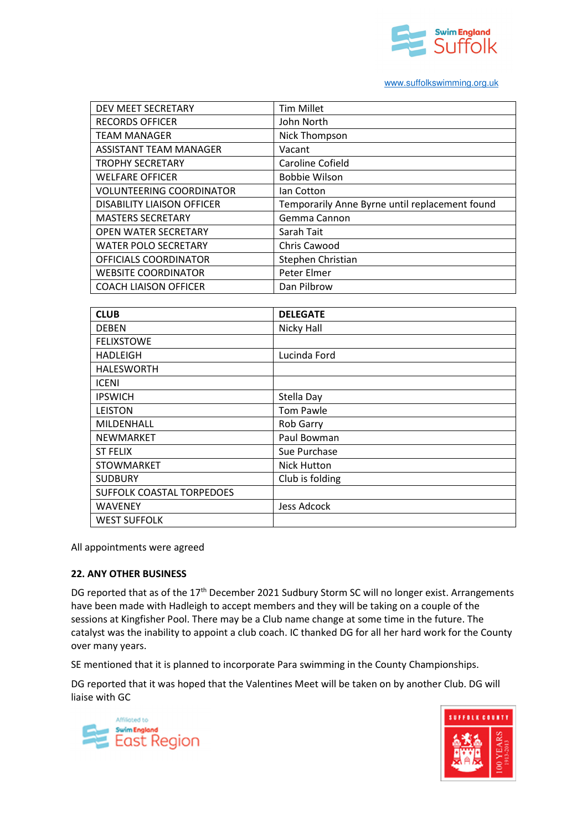

#### www.suffolkswimming.org.uk

| DEV MEET SECRETARY                | <b>Tim Millet</b>                              |
|-----------------------------------|------------------------------------------------|
| <b>RECORDS OFFICER</b>            | John North                                     |
| <b>TEAM MANAGER</b>               | Nick Thompson                                  |
| ASSISTANT TEAM MANAGER            | Vacant                                         |
| <b>TROPHY SECRETARY</b>           | Caroline Cofield                               |
| <b>WELFARE OFFICER</b>            | <b>Bobbie Wilson</b>                           |
| <b>VOLUNTEERING COORDINATOR</b>   | lan Cotton                                     |
| <b>DISABILITY LIAISON OFFICER</b> | Temporarily Anne Byrne until replacement found |
| <b>MASTERS SECRETARY</b>          | Gemma Cannon                                   |
| OPEN WATER SECRETARY              | Sarah Tait                                     |
| <b>WATER POLO SECRETARY</b>       | <b>Chris Cawood</b>                            |
| OFFICIALS COORDINATOR             | Stephen Christian                              |
| <b>WEBSITE COORDINATOR</b>        | Peter Elmer                                    |
| <b>COACH LIAISON OFFICER</b>      | Dan Pilbrow                                    |

| <b>CLUB</b>               | <b>DELEGATE</b>    |
|---------------------------|--------------------|
| <b>DEBEN</b>              | Nicky Hall         |
| <b>FELIXSTOWE</b>         |                    |
| <b>HADLEIGH</b>           | Lucinda Ford       |
| <b>HALESWORTH</b>         |                    |
| <b>ICENI</b>              |                    |
| <b>IPSWICH</b>            | Stella Day         |
| <b>LEISTON</b>            | <b>Tom Pawle</b>   |
| MILDENHALL                | <b>Rob Garry</b>   |
| <b>NEWMARKET</b>          | Paul Bowman        |
| <b>ST FELIX</b>           | Sue Purchase       |
| <b>STOWMARKET</b>         | <b>Nick Hutton</b> |
| <b>SUDBURY</b>            | Club is folding    |
| SUFFOLK COASTAL TORPEDOES |                    |
| <b>WAVENEY</b>            | <b>Jess Adcock</b> |
| <b>WEST SUFFOLK</b>       |                    |

All appointments were agreed

## **22. ANY OTHER BUSINESS**

DG reported that as of the 17<sup>th</sup> December 2021 Sudbury Storm SC will no longer exist. Arrangements have been made with Hadleigh to accept members and they will be taking on a couple of the sessions at Kingfisher Pool. There may be a Club name change at some time in the future. The catalyst was the inability to appoint a club coach. IC thanked DG for all her hard work for the County over many years.

SE mentioned that it is planned to incorporate Para swimming in the County Championships.

DG reported that it was hoped that the Valentines Meet will be taken on by another Club. DG will liaise with GC